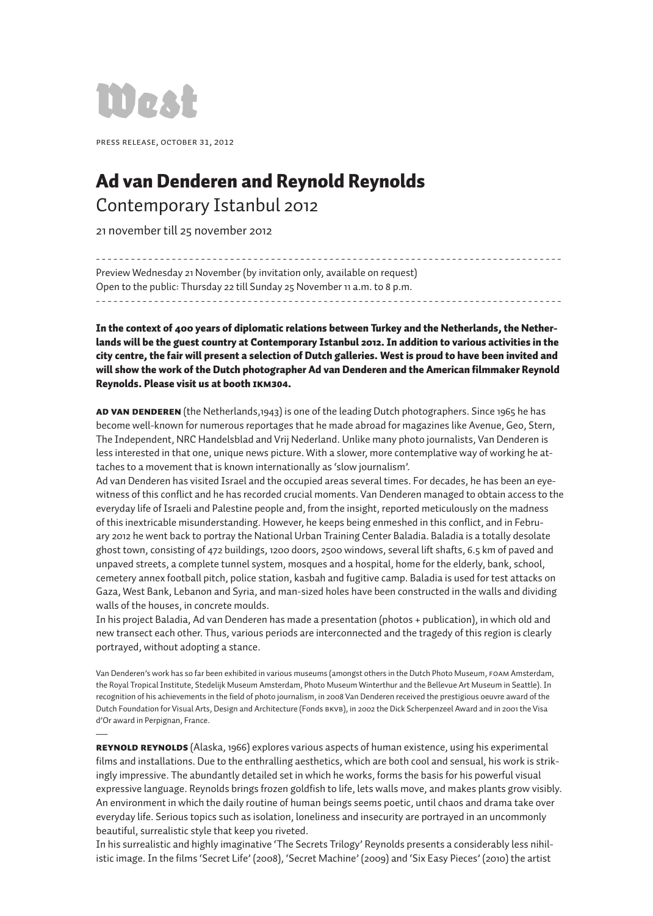

—

Press release, october 31, 2012

## Ad van Denderen and Reynold Reynolds Contemporary Istanbul 2012

21 november till 25 november 2012

- - - - - - - - - - - - - - - - - - - - - - - - - - - - - - - - - - - - - - - - - - - - - - - - - - - - - - - - - - - - - - - - - - - - - - - - - - - - - - - - Preview Wednesday 21 November (by invitation only, available on request) Open to the public: Thursday 22 till Sunday 25 November 11 a.m. to 8 p.m. - - - - - - - - - - - - - - - - - - - - - - - - - - - - - - - - - - - - - - - - - - - - - - - - - - - - - - - - - - - - - - - - - - - - - - - - - - - - - - - -

In the context of 400 years of diplomatic relations between Turkey and the Netherlands, the Netherlands will be the guest country at Contemporary Istanbul 2012. In addition to various activities in the city centre, the fair will present a selection of Dutch galleries. West is proud to have been invited and will show the work of the Dutch photographer Ad van Denderen and the American filmmaker Reynold Reynolds. Please visit us at booth IKM304.

AD VAN DENDEREN (the Netherlands,1943) is one of the leading Dutch photographers. Since 1965 he has become well-known for numerous reportages that he made abroad for magazines like Avenue, Geo, Stern, The Independent, NRC Handelsblad and Vrij Nederland. Unlike many photo journalists, Van Denderen is less interested in that one, unique news picture. With a slower, more contemplative way of working he attaches to a movement that is known internationally as 'slow journalism'.

Ad van Denderen has visited Israel and the occupied areas several times. For decades, he has been an eyewitness of this conflict and he has recorded crucial moments. Van Denderen managed to obtain access to the everyday life of Israeli and Palestine people and, from the insight, reported meticulously on the madness of this inextricable misunderstanding. However, he keeps being enmeshed in this conflict, and in February 2012 he went back to portray the National Urban Training Center Baladia. Baladia is a totally desolate ghost town, consisting of 472 buildings, 1200 doors, 2500 windows, several lift shafts, 6.5 km of paved and unpaved streets, a complete tunnel system, mosques and a hospital, home for the elderly, bank, school, cemetery annex football pitch, police station, kasbah and fugitive camp. Baladia is used for test attacks on Gaza, West Bank, Lebanon and Syria, and man-sized holes have been constructed in the walls and dividing walls of the houses, in concrete moulds.

In his project Baladia, Ad van Denderen has made a presentation (photos + publication), in which old and new transect each other. Thus, various periods are interconnected and the tragedy of this region is clearly portrayed, without adopting a stance.

Van Denderen's work has so far been exhibited in various museums (amongst others in the Dutch Photo Museum, FOAM Amsterdam, the Royal Tropical Institute, Stedelijk Museum Amsterdam, Photo Museum Winterthur and the Bellevue Art Museum in Seattle). In recognition of his achievements in the field of photo journalism, in 2008 Van Denderen received the prestigious oeuvre award of the Dutch Foundation for Visual Arts, Design and Architecture (Fonds BKVB), in 2002 the Dick Scherpenzeel Award and in 2001 the Visa d'Or award in Perpignan, France.

REYNOLD REYNOLDS (Alaska, 1966) explores various aspects of human existence, using his experimental films and installations. Due to the enthralling aesthetics, which are both cool and sensual, his work is strikingly impressive. The abundantly detailed set in which he works, forms the basis for his powerful visual expressive language. Reynolds brings frozen goldfish to life, lets walls move, and makes plants grow visibly. An environment in which the daily routine of human beings seems poetic, until chaos and drama take over everyday life. Serious topics such as isolation, loneliness and insecurity are portrayed in an uncommonly beautiful, surrealistic style that keep you riveted.

In his surrealistic and highly imaginative 'The Secrets Trilogy' Reynolds presents a considerably less nihilistic image. In the films 'Secret Life' (2008), 'Secret Machine' (2009) and 'Six Easy Pieces' (2010) the artist